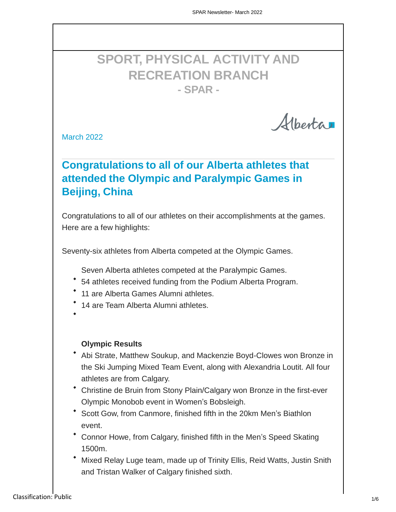# **SPORT, PHYSICAL ACTIVITY AND RECREATION BRANCH - SPAR -**

Alberta

March 2022

### **Congratulations to all of our Alberta athletes that attended the Olympic and Paralympic Games in Beijing, China**

Congratulations to all of our athletes on their accomplishments at the games. Here are a few highlights:

Seventy-six athletes from Alberta competed at the Olympic Games.

Seven Alberta athletes competed at the Paralympic Games.

- 54 athletes received funding from the Podium Alberta Program.
- 11 are Alberta Games Alumni athletes.
- 14 are Team Alberta Alumni athletes.
	- **Olympic Results**
- Abi Strate, Matthew Soukup, and Mackenzie Boyd-Clowes won Bronze in the Ski Jumping Mixed Team Event, along with Alexandria Loutit. All four athletes are from Calgary.
- Christine de Bruin from Stony Plain/Calgary won Bronze in the first-ever Olympic Monobob event in Women's Bobsleigh.
- Scott Gow, from Canmore, finished fifth in the 20km Men's Biathlon event.
- Connor Howe, from Calgary, finished fifth in the Men's Speed Skating 1500m.
- Mixed Relay Luge team, made up of Trinity Ellis, Reid Watts, Justin Snith and Tristan Walker of Calgary finished sixth.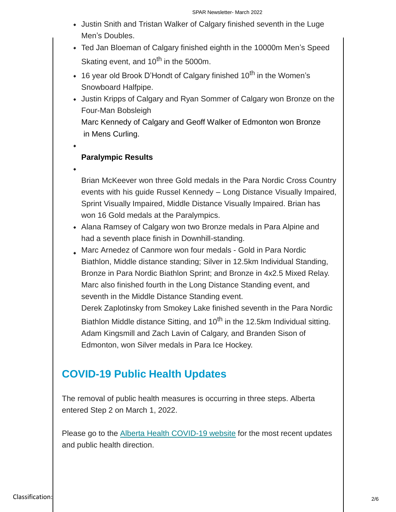- Justin Snith and Tristan Walker of Calgary finished seventh in the Luge Men's Doubles.
- Ted Jan Bloeman of Calgary finished eighth in the 10000m Men's Speed Skating event, and  $10^{th}$  in the 5000m.
- $\cdot$  16 year old Brook D'Hondt of Calgary finished 10<sup>th</sup> in the Women's Snowboard Halfpipe.
- Justin Kripps of Calgary and Ryan Sommer of Calgary won Bronze on the Four-Man Bobsleigh Marc Kennedy of Calgary and Geoff Walker of Edmonton won Bronze in Mens Curling.
- 

#### **Paralympic Results**

Brian McKeever won three Gold medals in the Para Nordic Cross Country events with his guide Russel Kennedy – Long Distance Visually Impaired, Sprint Visually Impaired, Middle Distance Visually Impaired. Brian has won 16 Gold medals at the Paralympics.

- Alana Ramsey of Calgary won two Bronze medals in Para Alpine and had a seventh place finish in Downhill-standing.
- Marc Arnedez of Canmore won four medals Gold in Para Nordic Biathlon, Middle distance standing; Silver in 12.5km Individual Standing, Bronze in Para Nordic Biathlon Sprint; and Bronze in 4x2.5 Mixed Relay. Marc also finished fourth in the Long Distance Standing event, and seventh in the Middle Distance Standing event.

Derek Zaplotinsky from Smokey Lake finished seventh in the Para Nordic Biathlon Middle distance Sitting, and  $10<sup>th</sup>$  in the 12.5km Individual sitting. Adam Kingsmill and Zach Lavin of Calgary, and Branden Sison of Edmonton, won Silver medals in Para Ice Hockey.

#### **COVID-19 Public Health Updates**

The removal of public health measures is occurring in three steps. Alberta entered Step 2 on March 1, 2022.

Please go to the [Alberta Health COVID-19 website](https://www.alberta.ca/covid-19-public-health-actions.aspx) for the most recent updates and public health direction.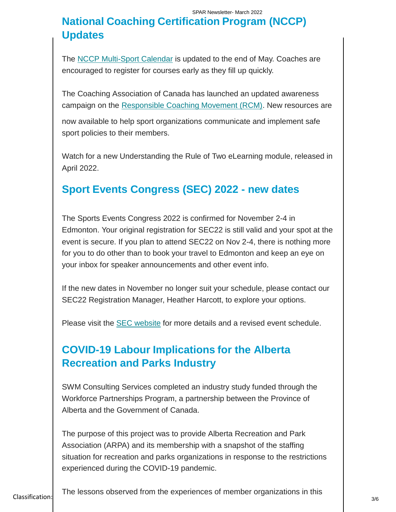## **National Coaching Certification Program (NCCP) Updates**

The [NCCP Multi-Sport Calendar](https://albertasport.ca/coaching/nccp-multi-sport-module-calendar/) is updated to the end of May. Coaches are encouraged to register for courses early as they fill up quickly.

The Coaching Association of Canada has launched an updated awareness campaign on the [Responsible Coaching Movement \(RCM\).](https://coach.ca/coaching-association-canada-launches-next-phase-responsible-coaching-safe-smart-and-secure-campaign) New resources are

now available to help sport organizations communicate and implement safe sport policies to their members.

Watch for a new Understanding the Rule of Two eLearning module, released in April 2022.

### **Sport Events Congress (SEC) 2022 - new dates**

The Sports Events Congress 2022 is confirmed for November 2-4 in Edmonton. Your original registration for SEC22 is still valid and your spot at the event is secure. If you plan to attend SEC22 on Nov 2-4, there is nothing more for you to do other than to book your travel to Edmonton and keep an eye on your inbox for speaker announcements and other event info.

If the new dates in November no longer suit your schedule, please contact our SEC22 Registration Manager, Heather Harcott, to explore your options.

Please visit the **SEC** website for more details and a revised event schedule.

#### **COVID-19 Labour Implications for the Alberta Recreation and Parks Industry**

SWM Consulting Services completed an industry study funded through the Workforce Partnerships Program, a partnership between the Province of Alberta and the Government of Canada.

The purpose of this project was to provide Alberta Recreation and Park Association (ARPA) and its membership with a snapshot of the staffing situation for recreation and parks organizations in response to the restrictions experienced during the COVID-19 pandemic.

Classification: Public 3/6 The lessons observed from the experiences of member organizations in this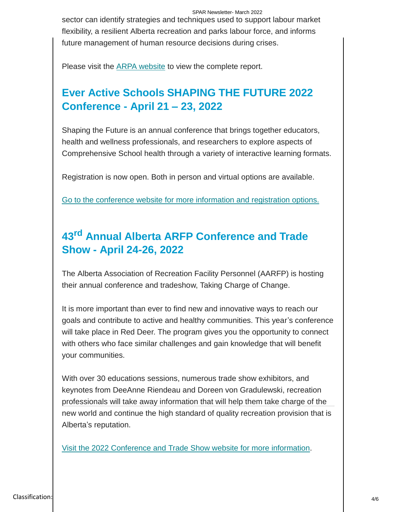SPAR Newsletter- March 2022 sector can identify strategies and techniques used to support labour market flexibility, a resilient Alberta recreation and parks labour force, and informs future management of human resource decisions during crises.

Please visit the ARPA [website](https://arpaonline.ca/program/Recreation-and-Parks-Labour-Market/covid-19-labour-market-impacts/) to view the complete report.

## **Ever Active Schools SHAPING THE FUTURE 2022 Conference - April 21 – 23, 2022**

Shaping the Future is an annual conference that brings together educators, health and wellness professionals, and researchers to explore aspects of Comprehensive School health through a variety of interactive learning formats.

Registration is now open. Both in person and virtual options are available.

Go to the conference website for [more information and registration options.](https://everactive.org/events/stf/)

# **43rd Annual Alberta ARFP Conference and Trade Show - April 24-26, 2022**

The Alberta Association of Recreation Facility Personnel (AARFP) is hosting their annual conference and tradeshow, Taking Charge of Change.

It is more important than ever to find new and innovative ways to reach our goals and contribute to active and healthy communities. This year's conference will take place in Red Deer. The program gives you the opportunity to connect with others who face similar challenges and gain knowledge that will benefit your communities.

With over 30 educations sessions, numerous trade show exhibitors, and keynotes from DeeAnne Riendeau and Doreen von Gradulewski, recreation professionals will take away information that will help them take charge of the new world and continue the high standard of quality recreation provision that is Alberta's reputation.

Visit [the 2022 Conference and Trade](https://pheedloop.com/AARFP/site/home/) Show website for more information.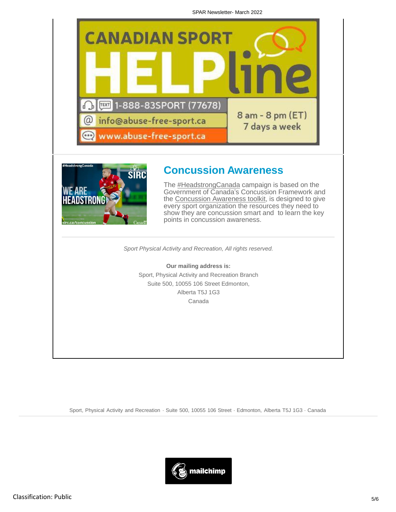SPAR Newsletter- March 2022





#### **Concussion Awareness**

The [#HeadstrongCanada](https://twitter.com/hashtag/headstrongcanada) campaign is based on the Government of Canada's Concussion Framework and the [Concussion Awareness](https://sirc.ca/concussion) toolkit, is designed to give every sport organization the resources they need to show they are concussion smart and to learn the key points in concussion awareness.

*Sport Physical Activity and Recreation, All rights reserved.*

**Our mailing address is:** Sport, Physical Activity and Recreation Branch Suite 500, 10055 106 Street Edmonton, Alberta T5J 1G3 Canada

Sport, Physical Activity and Recreation · Suite 500, 10055 106 Street · Edmonton, Alberta T5J 1G3 · Canada